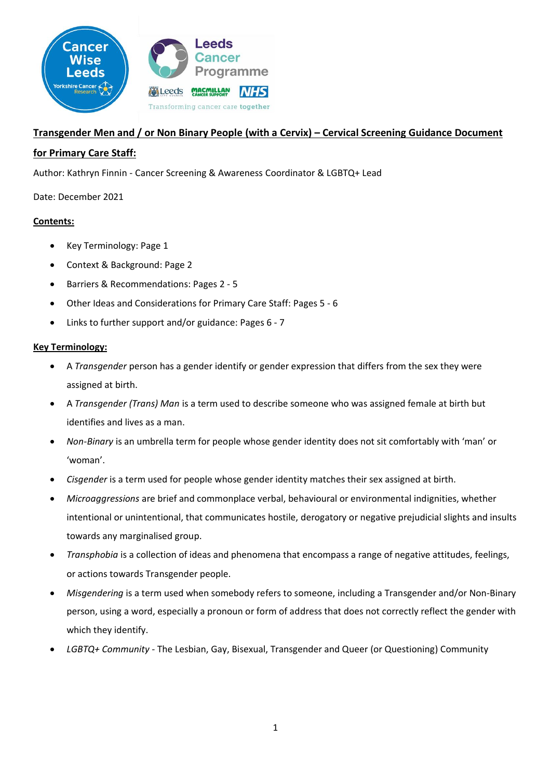

# **Transgender Men and / or Non Binary People (with a Cervix) – Cervical Screening Guidance Document**

## **for Primary Care Staff:**

Author: Kathryn Finnin - Cancer Screening & Awareness Coordinator & LGBTQ+ Lead

Date: December 2021

## **Contents:**

- Key Terminology: Page 1
- Context & Background: Page 2
- Barriers & Recommendations: Pages 2 5
- Other Ideas and Considerations for Primary Care Staff: Pages 5 6
- Links to further support and/or guidance: Pages 6 7

## **Key Terminology:**

- A *Transgender* person has a gender identify or gender expression that differs from the sex they were assigned at birth.
- A *Transgender (Trans) Man* is a term used to describe someone who was assigned female at birth but identifies and lives as a man.
- *Non-Binary* is an umbrella term for people whose gender identity does not sit comfortably with 'man' or 'woman'.
- *Cisgender* is a term used for people whose gender identity matches their sex assigned at birth.
- *Microaggressions* are brief and commonplace verbal, behavioural or environmental indignities, whether intentional or unintentional, that communicates hostile, derogatory or negative prejudicial slights and insults towards any marginalised group.
- *Transphobia* is a collection of ideas and phenomena that encompass a range of negative attitudes, feelings, or actions towards Transgender people.
- *Misgendering* is a term used when somebody refers to someone, including a Transgender and/or Non-Binary person, using a word, especially a pronoun or form of address that does not correctly reflect the gender with which they identify.
- *LGBTQ+ Community -* The Lesbian, Gay, Bisexual, Transgender and Queer (or Questioning) Community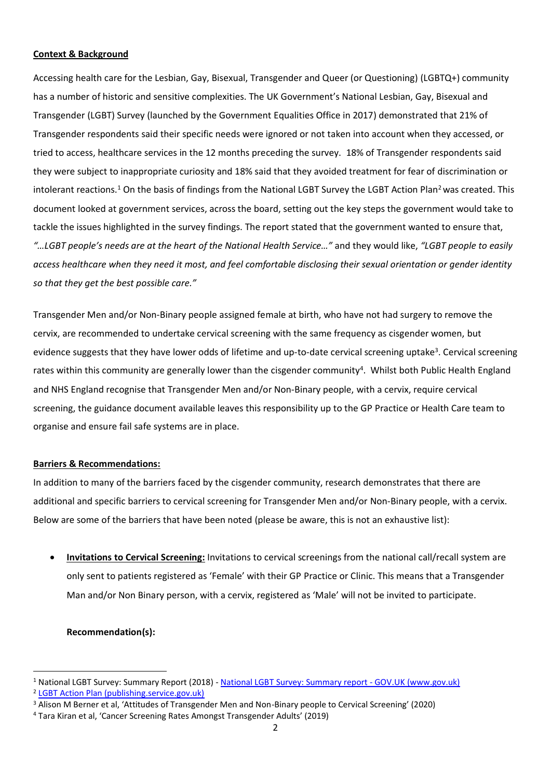## **Context & Background**

Accessing health care for the Lesbian, Gay, Bisexual, Transgender and Queer (or Questioning) (LGBTQ+) community has a number of historic and sensitive complexities. The UK Government's National Lesbian, Gay, Bisexual and Transgender (LGBT) Survey (launched by the Government Equalities Office in 2017) demonstrated that 21% of Transgender respondents said their specific needs were ignored or not taken into account when they accessed, or tried to access, healthcare services in the 12 months preceding the survey. 18% of Transgender respondents said they were subject to inappropriate curiosity and 18% said that they avoided treatment for fear of discrimination or intolerant reactions.<sup>1</sup> On the basis of findings from the National LGBT Survey the LGBT Action Plan<sup>2</sup> was created. This document looked at government services, across the board, setting out the key steps the government would take to tackle the issues highlighted in the survey findings. The report stated that the government wanted to ensure that, *"…LGBT people's needs are at the heart of the National Health Service…"* and they would like, *"LGBT people to easily access healthcare when they need it most, and feel comfortable disclosing their sexual orientation or gender identity so that they get the best possible care."*

Transgender Men and/or Non-Binary people assigned female at birth, who have not had surgery to remove the cervix, are recommended to undertake cervical screening with the same frequency as cisgender women, but evidence suggests that they have lower odds of lifetime and up-to-date cervical screening uptake<sup>3</sup>. Cervical screening rates within this community are generally lower than the cisgender community<sup>4</sup>. Whilst both Public Health England and NHS England recognise that Transgender Men and/or Non-Binary people, with a cervix, require cervical screening, the guidance document available leaves this responsibility up to the GP Practice or Health Care team to organise and ensure fail safe systems are in place.

## **Barriers & Recommendations:**

In addition to many of the barriers faced by the cisgender community, research demonstrates that there are additional and specific barriers to cervical screening for Transgender Men and/or Non-Binary people, with a cervix. Below are some of the barriers that have been noted (please be aware, this is not an exhaustive list):

• **Invitations to Cervical Screening:** Invitations to cervical screenings from the national call/recall system are only sent to patients registered as 'Female' with their GP Practice or Clinic. This means that a Transgender Man and/or Non Binary person, with a cervix, registered as 'Male' will not be invited to participate.

## **Recommendation(s):**

<sup>1</sup> National LGBT Survey: Summary Report (2018) - [National LGBT Survey: Summary report -](https://www.gov.uk/government/publications/national-lgbt-survey-summary-report/national-lgbt-survey-summary-report) GOV.UK (www.gov.uk) <sup>2</sup> [LGBT Action Plan \(publishing.service.gov.uk\)](https://assets.publishing.service.gov.uk/government/uploads/system/uploads/attachment_data/file/721367/GEO-LGBT-Action-Plan.pdf)

<sup>&</sup>lt;sup>3</sup> Alison M Berner et al, 'Attitudes of Transgender Men and Non-Binary people to Cervical Screening' (2020)

<sup>4</sup> Tara Kiran et al, 'Cancer Screening Rates Amongst Transgender Adults' (2019)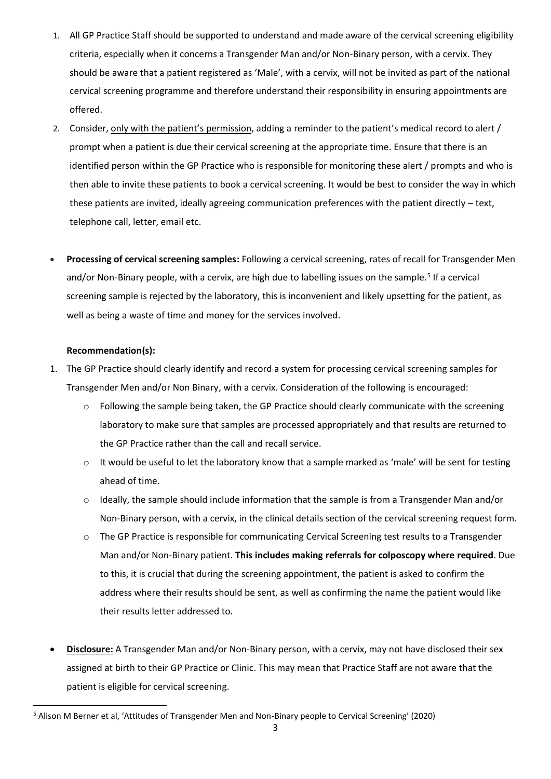- 1. All GP Practice Staff should be supported to understand and made aware of the cervical screening eligibility criteria, especially when it concerns a Transgender Man and/or Non-Binary person, with a cervix. They should be aware that a patient registered as 'Male', with a cervix, will not be invited as part of the national cervical screening programme and therefore understand their responsibility in ensuring appointments are offered.
- 2. Consider, only with the patient's permission, adding a reminder to the patient's medical record to alert / prompt when a patient is due their cervical screening at the appropriate time. Ensure that there is an identified person within the GP Practice who is responsible for monitoring these alert / prompts and who is then able to invite these patients to book a cervical screening. It would be best to consider the way in which these patients are invited, ideally agreeing communication preferences with the patient directly – text, telephone call, letter, email etc.
- **Processing of cervical screening samples:** Following a cervical screening, rates of recall for Transgender Men and/or Non-Binary people, with a cervix, are high due to labelling issues on the sample.<sup>5</sup> If a cervical screening sample is rejected by the laboratory, this is inconvenient and likely upsetting for the patient, as well as being a waste of time and money for the services involved.

## **Recommendation(s):**

- 1. The GP Practice should clearly identify and record a system for processing cervical screening samples for Transgender Men and/or Non Binary, with a cervix. Consideration of the following is encouraged:
	- $\circ$  Following the sample being taken, the GP Practice should clearly communicate with the screening laboratory to make sure that samples are processed appropriately and that results are returned to the GP Practice rather than the call and recall service.
	- $\circ$  It would be useful to let the laboratory know that a sample marked as 'male' will be sent for testing ahead of time.
	- $\circ$  Ideally, the sample should include information that the sample is from a Transgender Man and/or Non-Binary person, with a cervix, in the clinical details section of the cervical screening request form.
	- o The GP Practice is responsible for communicating Cervical Screening test results to a Transgender Man and/or Non-Binary patient. **This includes making referrals for colposcopy where required**. Due to this, it is crucial that during the screening appointment, the patient is asked to confirm the address where their results should be sent, as well as confirming the name the patient would like their results letter addressed to.
- **Disclosure:** A Transgender Man and/or Non-Binary person, with a cervix, may not have disclosed their sex assigned at birth to their GP Practice or Clinic. This may mean that Practice Staff are not aware that the patient is eligible for cervical screening.

<sup>5</sup> Alison M Berner et al, 'Attitudes of Transgender Men and Non-Binary people to Cervical Screening' (2020)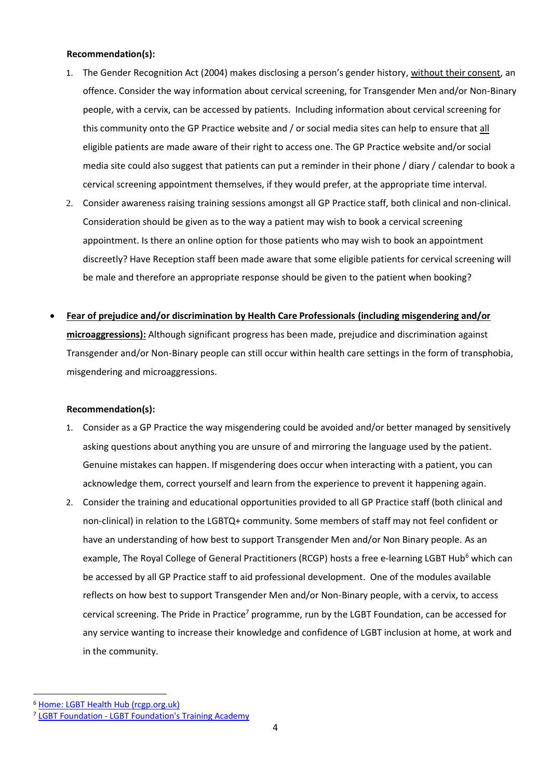#### **Recommendation(s):**

- 1. The Gender Recognition Act (2004) makes disclosing a person's gender history, without their consent, an offence. Consider the way information about cervical screening, for Transgender Men and/or Non-Binary people, with a cervix, can be accessed by patients. Including information about cervical screening for this community onto the GP Practice website and / or social media sites can help to ensure that all eligible patients are made aware of their right to access one. The GP Practice website and/or social media site could also suggest that patients can put a reminder in their phone / diary / calendar to book a cervical screening appointment themselves, if they would prefer, at the appropriate time interval.
- 2. Consider awareness raising training sessions amongst all GP Practice staff, both clinical and non-clinical. Consideration should be given as to the way a patient may wish to book a cervical screening appointment. Is there an online option for those patients who may wish to book an appointment discreetly? Have Reception staff been made aware that some eligible patients for cervical screening will be male and therefore an appropriate response should be given to the patient when booking?
- **Fear of prejudice and/or discrimination by Health Care Professionals (including misgendering and/or microaggressions):** Although significant progress has been made, prejudice and discrimination against Transgender and/or Non-Binary people can still occur within health care settings in the form of transphobia, misgendering and microaggressions.

## **Recommendation(s):**

- 1. Consider as a GP Practice the way misgendering could be avoided and/or better managed by sensitively asking questions about anything you are unsure of and mirroring the language used by the patient. Genuine mistakes can happen. If misgendering does occur when interacting with a patient, you can acknowledge them, correct yourself and learn from the experience to prevent it happening again.
- 2. Consider the training and educational opportunities provided to all GP Practice staff (both clinical and non-clinical) in relation to the LGBTQ+ community. Some members of staff may not feel confident or have an understanding of how best to support Transgender Men and/or Non Binary people. As an example, The Royal College of General Practitioners (RCGP) hosts a free e-learning LGBT Hub<sup>6</sup> which can be accessed by all GP Practice staff to aid professional development. One of the modules available reflects on how best to support Transgender Men and/or Non-Binary people, with a cervix, to access cervical screening. The Pride in Practice<sup>7</sup> programme, run by the LGBT Foundation, can be accessed for any service wanting to increase their knowledge and confidence of LGBT inclusion at home, at work and in the community.

<sup>6</sup> [Home: LGBT Health Hub \(rcgp.org.uk\)](https://elearning.rcgp.org.uk/mod/page/view.php?id=9380)

<sup>7</sup> LGBT Foundation - [LGBT Foundation's Training Academy](https://lgbt.foundation/piptrainingacademy)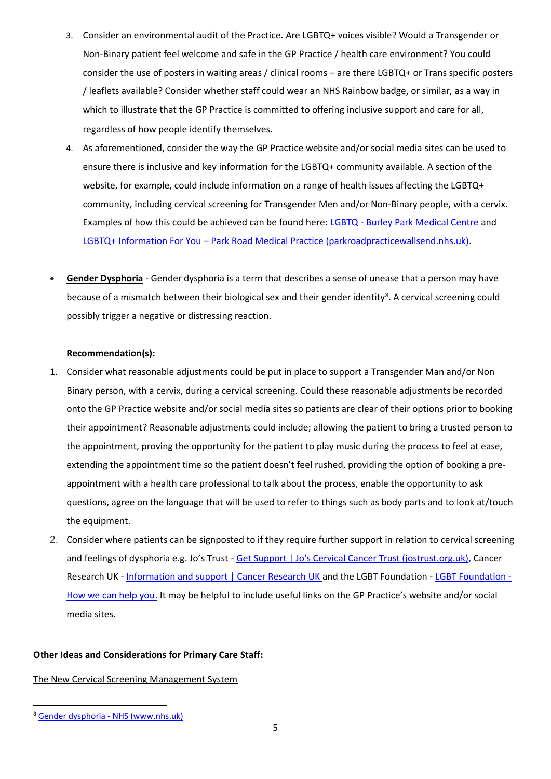- 3. Consider an environmental audit of the Practice. Are LGBTQ+ voices visible? Would a Transgender or Non-Binary patient feel welcome and safe in the GP Practice / health care environment? You could consider the use of posters in waiting areas / clinical rooms – are there LGBTQ+ or Trans specific posters / leaflets available? Consider whether staff could wear an NHS Rainbow badge, or similar, as a way in which to illustrate that the GP Practice is committed to offering inclusive support and care for all, regardless of how people identify themselves.
- 4. As aforementioned, consider the way the GP Practice website and/or social media sites can be used to ensure there is inclusive and key information for the LGBTQ+ community available. A section of the website, for example, could include information on a range of health issues affecting the LGBTQ+ community, including cervical screening for Transgender Men and/or Non-Binary people, with a cervix. Examples of how this could be achieved can be found here: LGBTQ - [Burley Park Medical Centre](https://www.burleyparkmedicalcentre.co.uk/clinics-and-services/lgbtq/) and LGBTQ+ Information For You – [Park Road Medical Practice \(parkroadpracticewallsend.nhs.uk\).](https://parkroadpracticewallsend.nhs.uk/managing-your-health/lgbtq-information-for-you/)
- **Gender Dysphoria** Gender dysphoria is a term that describes a sense of unease that a person may have because of a mismatch between their biological sex and their gender identity<sup>8</sup>. A cervical screening could possibly trigger a negative or distressing reaction.

## **Recommendation(s):**

- 1. Consider what reasonable adjustments could be put in place to support a Transgender Man and/or Non Binary person, with a cervix, during a cervical screening. Could these reasonable adjustments be recorded onto the GP Practice website and/or social media sites so patients are clear of their options prior to booking their appointment? Reasonable adjustments could include; allowing the patient to bring a trusted person to the appointment, proving the opportunity for the patient to play music during the process to feel at ease, extending the appointment time so the patient doesn't feel rushed, providing the option of booking a preappointment with a health care professional to talk about the process, enable the opportunity to ask questions, agree on the language that will be used to refer to things such as body parts and to look at/touch the equipment.
- 2. Consider where patients can be signposted to if they require further support in relation to cervical screening and feelings of dysphoria e.g. Jo's Trust - [Get Support | Jo's Cervical Cancer Trust \(jostrust.org.uk\),](https://www.jostrust.org.uk/get-support) Cancer Research UK - [Information and support | Cancer Research UK](https://www.cancerresearchuk.org/information-and-support) and the [LGBT Foundation -](https://lgbt.foundation/howwecanhelp) LGBT Foundation -[How we can help you.](https://lgbt.foundation/howwecanhelp) It may be helpful to include useful links on the GP Practice's website and/or social media sites.

## **Other Ideas and Considerations for Primary Care Staff:**

## The New Cervical Screening Management System

<sup>8</sup> [Gender dysphoria -](https://www.nhs.uk/conditions/gender-dysphoria/) NHS (www.nhs.uk)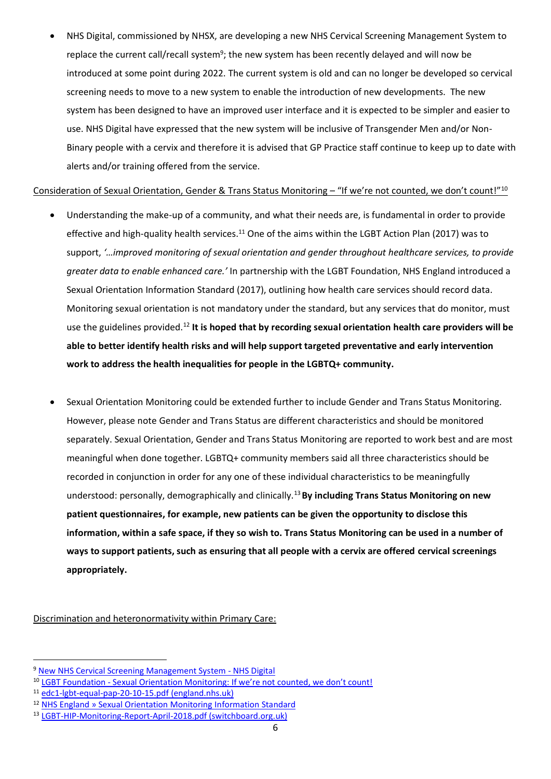• NHS Digital, commissioned by NHSX, are developing a new NHS Cervical Screening Management System to replace the current call/recall system<sup>9</sup>; the new system has been recently delayed and will now be introduced at some point during 2022. The current system is old and can no longer be developed so cervical screening needs to move to a new system to enable the introduction of new developments. The new system has been designed to have an improved user interface and it is expected to be simpler and easier to use. NHS Digital have expressed that the new system will be inclusive of Transgender Men and/or Non-Binary people with a cervix and therefore it is advised that GP Practice staff continue to keep up to date with alerts and/or training offered from the service.

## Consideration of Sexual Orientation, Gender & Trans Status Monitoring – "If we're not counted, we don't count!"<sup>10</sup>

- Understanding the make-up of a community, and what their needs are, is fundamental in order to provide effective and high-quality health services.<sup>11</sup> One of the aims within the LGBT Action Plan (2017) was to support, *'…improved monitoring of sexual orientation and gender throughout healthcare services, to provide greater data to enable enhanced care.'* In partnership with the LGBT Foundation, NHS England introduced a Sexual Orientation Information Standard (2017), outlining how health care services should record data. Monitoring sexual orientation is not mandatory under the standard, but any services that do monitor, must use the guidelines provided.<sup>12</sup> **It is hoped that by recording sexual orientation health care providers will be able to better identify health risks and will help support targeted preventative and early intervention work to address the health inequalities for people in the LGBTQ+ community.**
- Sexual Orientation Monitoring could be extended further to include Gender and Trans Status Monitoring. However, please note Gender and Trans Status are different characteristics and should be monitored separately. Sexual Orientation, Gender and Trans Status Monitoring are reported to work best and are most meaningful when done together. LGBTQ+ community members said all three characteristics should be recorded in conjunction in order for any one of these individual characteristics to be meaningfully understood: personally, demographically and clinically.<sup>13</sup>**By including Trans Status Monitoring on new patient questionnaires, for example, new patients can be given the opportunity to disclose this information, within a safe space, if they so wish to. Trans Status Monitoring can be used in a number of ways to support patients, such as ensuring that all people with a cervix are offered cervical screenings appropriately.**

Discrimination and heteronormativity within Primary Care:

<sup>9</sup> [New NHS Cervical Screening Management System -](https://digital.nhs.uk/services/screening-services/national-cervical-screening/new-cervical-screening-management-system) NHS Digital

<sup>&</sup>lt;sup>10</sup> LGBT Foundation - [Sexual Orientation Monitoring: If we're not counted, we don't count!](https://lgbt.foundation/news/sexual-orientation-monitoring-if-were-not-counted-we-dont-count/126)

<sup>11</sup> [edc1-lgbt-equal-pap-20-10-15.pdf \(england.nhs.uk\)](https://www.england.nhs.uk/wp-content/uploads/2015/11/edc1-lgbt-equal-pap-20-10-15.pdf)

<sup>12</sup> [NHS England » Sexual Orientation Monitoring Information Standard](https://www.england.nhs.uk/about/equality/equality-hub/sexual-orientation-monitoring-information-standard/)

<sup>13</sup> [LGBT-HIP-Monitoring-Report-April-2018.pdf \(switchboard.org.uk\)](https://www.switchboard.org.uk/wp-content/uploads/2018/04/LGBT-HIP-Monitoring-Report-April-2018.pdf)